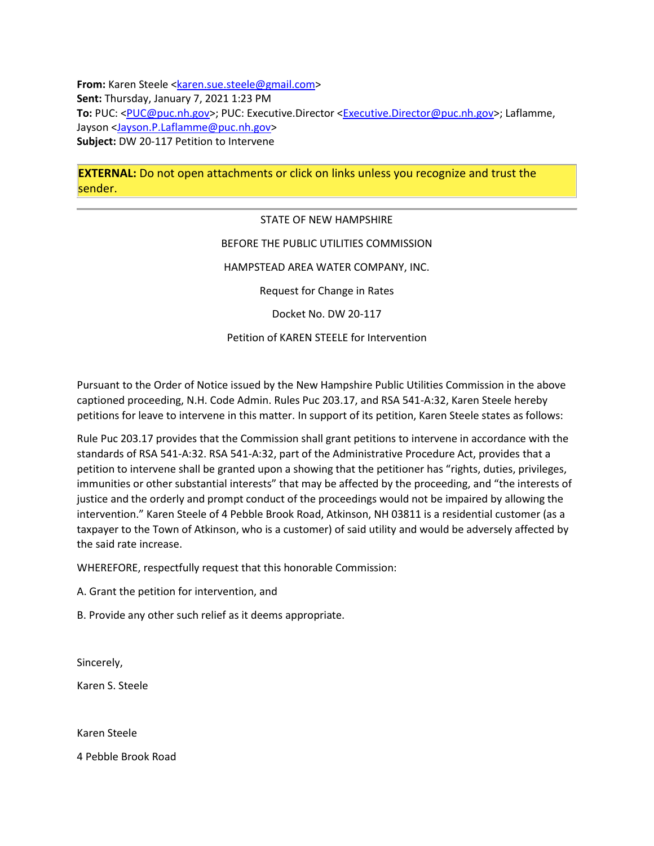**From:** Karen Steele [<karen.sue.steele@gmail.com>](mailto:karen.sue.steele@gmail.com) **Sent:** Thursday, January 7, 2021 1:23 PM **To:** PUC: [<PUC@puc.nh.gov>](mailto:PUC@puc.nh.gov); PUC: Executive.Director [<Executive.Director@puc.nh.gov>](mailto:Executive.Director@puc.nh.gov); Laflamme, Jayson [<Jayson.P.Laflamme@puc.nh.gov>](mailto:Jayson.P.Laflamme@puc.nh.gov) **Subject:** DW 20-117 Petition to Intervene

**EXTERNAL:** Do not open attachments or click on links unless you recognize and trust the sender.

> STATE OF NEW HAMPSHIRE BEFORE THE PUBLIC UTILITIES COMMISSION HAMPSTEAD AREA WATER COMPANY, INC. Request for Change in Rates Docket No. DW 20-117

## Petition of KAREN STEELE for Intervention

Pursuant to the Order of Notice issued by the New Hampshire Public Utilities Commission in the above captioned proceeding, N.H. Code Admin. Rules Puc 203.17, and RSA 541-A:32, Karen Steele hereby petitions for leave to intervene in this matter. In support of its petition, Karen Steele states as follows:

Rule Puc 203.17 provides that the Commission shall grant petitions to intervene in accordance with the standards of RSA 541-A:32. RSA 541-A:32, part of the Administrative Procedure Act, provides that a petition to intervene shall be granted upon a showing that the petitioner has "rights, duties, privileges, immunities or other substantial interests" that may be affected by the proceeding, and "the interests of justice and the orderly and prompt conduct of the proceedings would not be impaired by allowing the intervention." Karen Steele of 4 Pebble Brook Road, Atkinson, NH 03811 is a residential customer (as a taxpayer to the Town of Atkinson, who is a customer) of said utility and would be adversely affected by the said rate increase.

WHEREFORE, respectfully request that this honorable Commission:

A. Grant the petition for intervention, and

B. Provide any other such relief as it deems appropriate.

Sincerely,

Karen S. Steele

Karen Steele

4 Pebble Brook Road